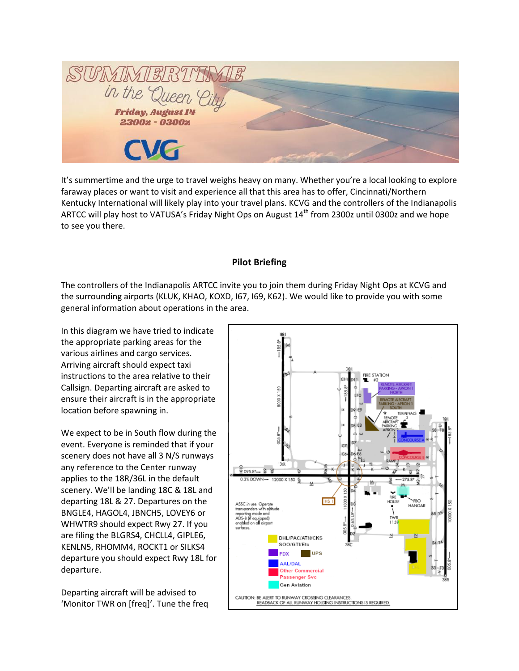SUMME in the Quee **Friday, August 14** 2300z - 0300z

It's summertime and the urge to travel weighs heavy on many. Whether you're a local looking to explore faraway places or want to visit and experience all that this area has to offer, Cincinnati/Northern Kentucky International will likely play into your travel plans. KCVG and the controllers of the Indianapolis ARTCC will play host to VATUSA's Friday Night Ops on August  $14<sup>th</sup>$  from 2300z until 0300z and we hope to see you there.

## **Pilot Briefing**

The controllers of the Indianapolis ARTCC invite you to join them during Friday Night Ops at KCVG and the surrounding airports (KLUK, KHAO, KOXD, I67, I69, K62). We would like to provide you with some general information about operations in the area.

In this diagram we have tried to indicate the appropriate parking areas for the various airlines and cargo services. Arriving aircraft should expect taxi instructions to the area relative to their Callsign. Departing aircraft are asked to ensure their aircraft is in the appropriate location before spawning in.

We expect to be in South flow during the event. Everyone is reminded that if your scenery does not have all 3 N/S runways any reference to the Center runway applies to the 18R/36L in the default scenery. We'll be landing 18C & 18L and departing 18L & 27. Departures on the BNGLE4, HAGOL4, JBNCH5, LOVEY6 or WHWTR9 should expect Rwy 27. If you are filing the BLGRS4, CHCLL4, GIPLE6, KENLN5, RHOMM4, ROCKT1 or SILKS4 departure you should expect Rwy 18L for departure.

Departing aircraft will be advised to 'Monitor TWR on [freq]'. Tune the freq